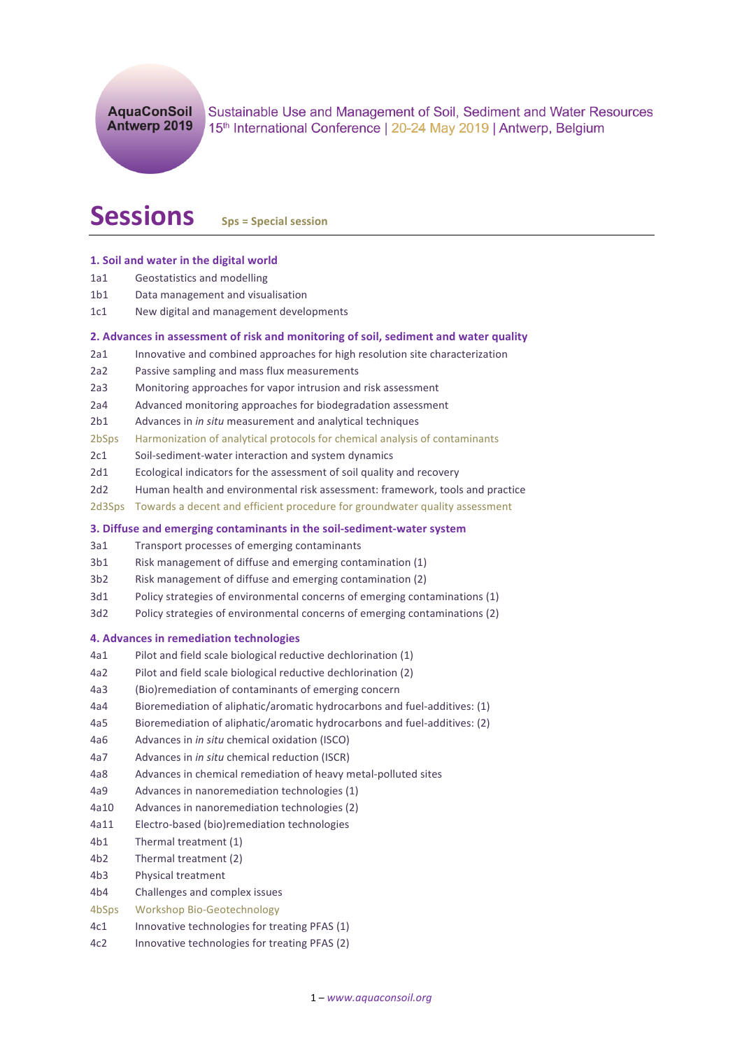Sustainable Use and Management of Soil, Sediment and Water Resources 15th International Conference | 20-24 May 2019 | Antwerp, Belgium

# **Sessions** Sps = Special session

# **1. Soil and water in the digital world**

- 1a1 Geostatistics and modelling
- 1b1 Data management and visualisation
- 1c1 New digital and management developments

## **2.** Advances in assessment of risk and monitoring of soil, sediment and water quality

- 2a1 Innovative and combined approaches for high resolution site characterization
- 2a2 Passive sampling and mass flux measurements
- 2a3 Monitoring approaches for vapor intrusion and risk assessment
- 2a4 Advanced monitoring approaches for biodegradation assessment
- 2b1 Advances in *in situ* measurement and analytical techniques
- 2bSps Harmonization of analytical protocols for chemical analysis of contaminants
- 2c1 Soil-sediment-water interaction and system dynamics
- 2d1 Ecological indicators for the assessment of soil quality and recovery
- 2d2 Human health and environmental risk assessment: framework, tools and practice
- 2d3Sps Towards a decent and efficient procedure for groundwater quality assessment

# **3. Diffuse and emerging contaminants in the soil-sediment-water system**

- 3a1 Transport processes of emerging contaminants
- 3b1 Risk management of diffuse and emerging contamination (1)
- 3b2 Risk management of diffuse and emerging contamination (2)
- 3d1 Policy strategies of environmental concerns of emerging contaminations (1)
- 3d2 Policy strategies of environmental concerns of emerging contaminations (2)

#### **4. Advances in remediation technologies**

- 4a1 Pilot and field scale biological reductive dechlorination (1)
- 4a2 Pilot and field scale biological reductive dechlorination (2)
- 4a3 (Bio)remediation of contaminants of emerging concern
- 4a4 Bioremediation of aliphatic/aromatic hydrocarbons and fuel-additives: (1)
- 4a5 Bioremediation of aliphatic/aromatic hydrocarbons and fuel-additives: (2)
- 4a6 Advances in *in situ* chemical oxidation (ISCO)
- 4a7 Advances in *in situ* chemical reduction (ISCR)
- 4a8 Advances in chemical remediation of heavy metal-polluted sites
- 4a9 Advances in nanoremediation technologies (1)
- 4a10 Advances in nanoremediation technologies (2)
- 4a11 Electro-based (bio)remediation technologies
- 4b1 Thermal treatment (1)
- 4b2 Thermal treatment (2)
- 4b3 Physical treatment
- 4b4 Challenges and complex issues
- 4bSps Workshop Bio-Geotechnology
- 4c1 Innovative technologies for treating PFAS (1)
- 4c2 Innovative technologies for treating PFAS (2)